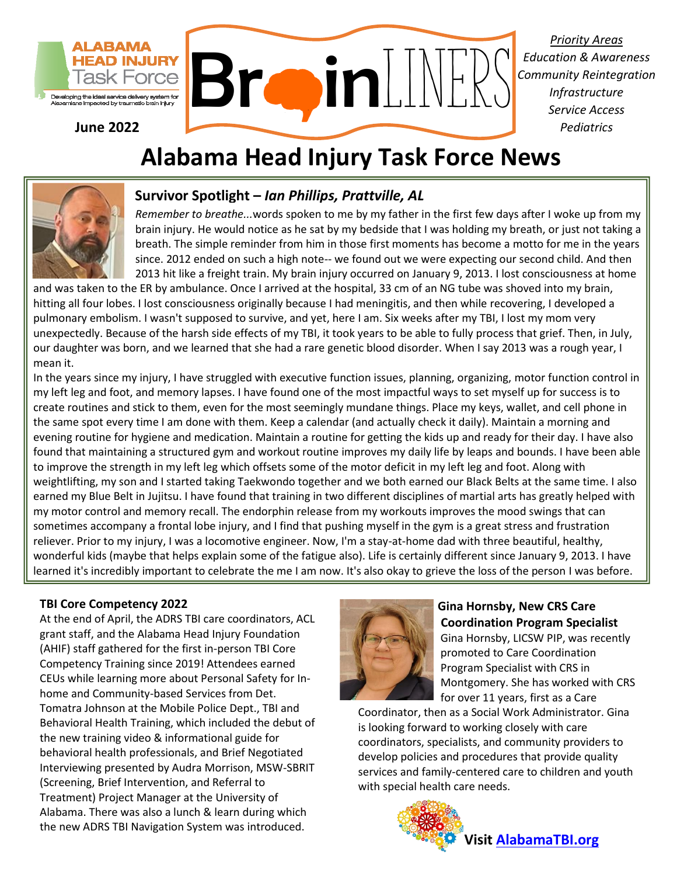

**June 2022**

*Priority Areas Education & Awareness Community Reintegration Infrastructure Service Access Pediatrics*

# **Alabama Head Injury Task Force News**



# **Survivor Spotlight –** *Ian Phillips, Prattville, AL*

*Remember to breathe...*words spoken to me by my father in the first few days after I woke up from my brain injury. He would notice as he sat by my bedside that I was holding my breath, or just not taking a breath. The simple reminder from him in those first moments has become a motto for me in the years since. 2012 ended on such a high note-- we found out we were expecting our second child. And then 2013 hit like a freight train. My brain injury occurred on January 9, 2013. I lost consciousness at home

and was taken to the ER by ambulance. Once I arrived at the hospital, 33 cm of an NG tube was shoved into my brain, hitting all four lobes. I lost consciousness originally because I had meningitis, and then while recovering, I developed a pulmonary embolism. I wasn't supposed to survive, and yet, here I am. Six weeks after my TBI, I lost my mom very unexpectedly. Because of the harsh side effects of my TBI, it took years to be able to fully process that grief. Then, in July, our daughter was born, and we learned that she had a rare genetic blood disorder. When I say 2013 was a rough year, I mean it.

In the years since my injury, I have struggled with executive function issues, planning, organizing, motor function control in my left leg and foot, and memory lapses. I have found one of the most impactful ways to set myself up for success is to create routines and stick to them, even for the most seemingly mundane things. Place my keys, wallet, and cell phone in the same spot every time I am done with them. Keep a calendar (and actually check it daily). Maintain a morning and evening routine for hygiene and medication. Maintain a routine for getting the kids up and ready for their day. I have also found that maintaining a structured gym and workout routine improves my daily life by leaps and bounds. I have been able to improve the strength in my left leg which offsets some of the motor deficit in my left leg and foot. Along with weightlifting, my son and I started taking Taekwondo together and we both earned our Black Belts at the same time. I also earned my Blue Belt in Jujitsu. I have found that training in two different disciplines of martial arts has greatly helped with my motor control and memory recall. The endorphin release from my workouts improves the mood swings that can sometimes accompany a frontal lobe injury, and I find that pushing myself in the gym is a great stress and frustration reliever. Prior to my injury, I was a locomotive engineer. Now, I'm a stay-at-home dad with three beautiful, healthy, wonderful kids (maybe that helps explain some of the fatigue also). Life is certainly different since January 9, 2013. I have learned it's incredibly important to celebrate the me I am now. It's also okay to grieve the loss of the person I was before.

#### **TBI Core Competency 2022**

At the end of April, the ADRS TBI care coordinators, ACL grant staff, and the Alabama Head Injury Foundation (AHIF) staff gathered for the first in-person TBI Core Competency Training since 2019! Attendees earned CEUs while learning more about Personal Safety for Inhome and Community-based Services from Det. Tomatra Johnson at the Mobile Police Dept., TBI and Behavioral Health Training, which included the debut of the new training video & informational guide for behavioral health professionals, and Brief Negotiated Interviewing presented by Audra Morrison, MSW-SBRIT (Screening, Brief Intervention, and Referral to Treatment) Project Manager at the University of Alabama. There was also a lunch & learn during which the new ADRS TBI Navigation System was introduced.



#### **Gina Hornsby, New CRS Care Coordination Program Specialist** Gina Hornsby, LICSW PIP, was recently promoted to Care Coordination Program Specialist with CRS in Montgomery. She has worked with CRS

for over 11 years, first as a Care

Coordinator, then as a Social Work Administrator. Gina is looking forward to working closely with care coordinators, specialists, and community providers to develop policies and procedures that provide quality services and family-centered care to children and youth with special health care needs.

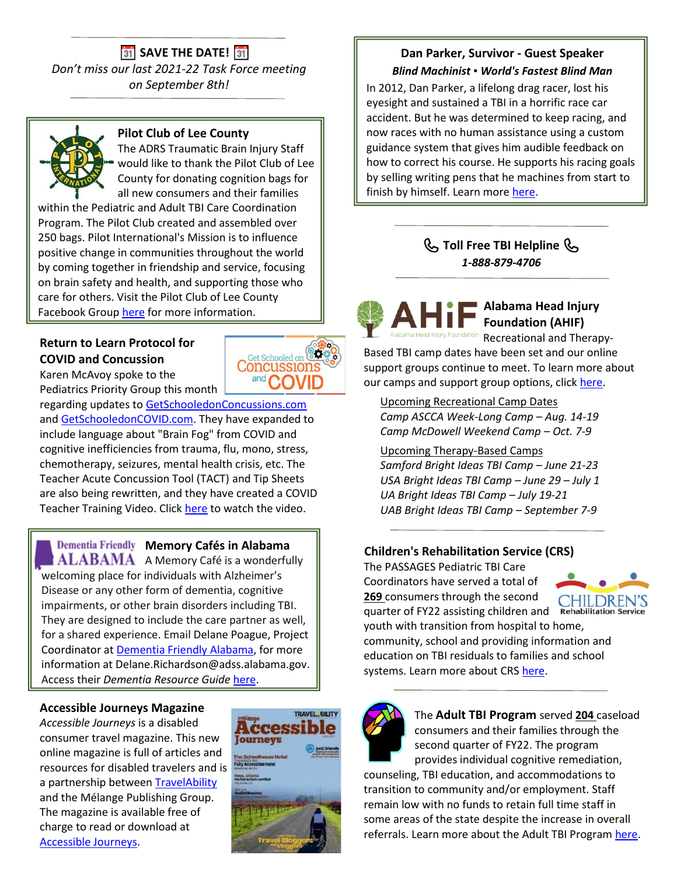# **31** SAVE THE DATE! **31**

*Don't miss our last 2021-22 Task Force meeting on September 8th!*



## **Pilot Club of Lee County**

The ADRS Traumatic Brain Injury Staff would like to thank the Pilot Club of Lee County for donating cognition bags for all new consumers and their families

within the Pediatric and Adult TBI Care Coordination Program. The Pilot Club created and assembled over 250 bags. Pilot International's Mission is to influence positive change in communities throughout the world by coming together in friendship and service, focusing on brain safety and health, and supporting those who care for others. Visit the Pilot Club of Lee County Facebook Grou[p here](http://www.facebook.com/PilotClubofLeeCounty) for more information.

# **Return to Learn Protocol for COVID and Concussion**

Karen McAvoy spoke to the Pediatrics Priority Group this month

regarding updates to [GetSchooledonConcussions.com](https://www.getschooledoncovid.com/) and [GetSchooledonCOVID.com.](https://www.getschooledoncovid.com/) They have expanded to include language about "Brain Fog" from COVID and cognitive inefficiencies from trauma, flu, mono, stress, chemotherapy, seizures, mental health crisis, etc. The Teacher Acute Concussion Tool (TACT) and Tip Sheets are also being rewritten, and they have created a COVID Teacher Training Video. Click [here](https://drive.google.com/file/d/1lLCsTL6-wveeYdgvrC1slL4LVSfuQySW/view) to watch the video.

**Dementia Friendly Memory Cafés in Alabama** 

**ALABAMA** A Memory Café is a wonderfully welcoming place for individuals with Alzheimer's Disease or any other form of dementia, cognitive impairments, or other brain disorders including TBI. They are designed to include the care partner as well, for a shared experience. Email Delane Poague, Project Coordinator at [Dementia Friendly Alabama,](https://dementiafriendlyal.org/) for more information at Delane.Richardson@adss.alabama.gov. Access their *Dementia Resource Guide* [here.](https://files.constantcontact.com/833c3751701/1185140d-c73b-4681-ae90-22336d714ebc.pdf)

### **Accessible Journeys Magazine**

*Accessible Journeys* is a disabled consumer travel magazine. This new online magazine is full of articles and resources for disabled travelers and is a partnership between [TravelAbility](https://travelability.net/) and the Mélange Publishing Group. The magazine is available free of charge to read or download at [Accessible Journeys.](https://www.readmelange.com/accessible-journeys/)



### **Dan Parker, Survivor - Guest Speaker** *Blind Machinist ▪ World's Fastest Blind Man*

In 2012, Dan Parker, a lifelong drag racer, lost his eyesight and sustained a TBI in a horrific race car accident. But he was determined to keep racing, and now races with no human assistance using a custom guidance system that gives him audible feedback on how to correct his course. He supports his racing goals by selling writing pens that he machines from start to finish by himself. Learn more [here.](https://urldefense.com/v3/__https:/theblindmachinist.com__;!!I47Zg8fJQnY!ffmmpTl1nDv4ElQL8pEjHJU-yJJz4C5NpgcNWsU2hgIxPW1CeI-wbYEUFIfuqdEAQEfUTNWsCxuyiZOrbwrhYzBzsRm9XJvtelM4$)

# **Toll Free TBI Helpline**  *1-888-879-4706*

 **Alabama Head Injury Foundation (AHIF)** ha Head Injury Foundation Recreational and Therapy-Based TBI camp dates have been set and our online

 support groups continue to meet. To learn more about our camps and support group options, clic[k here.](https://www.ahif.org/)

 Upcoming Recreational Camp Dates  *Camp ASCCA Week-Long Camp – Aug. 14-19 Camp McDowell Weekend Camp – Oct. 7-9*

 Upcoming Therapy-Based Camps  *Samford Bright Ideas TBI Camp – June 21-23 USA Bright Ideas TBI Camp – June 29 – July 1 UA Bright Ideas TBI Camp – July 19-21 UAB Bright Ideas TBI Camp – September 7-9*

### **Children's Rehabilitation Service (CRS)**

 The PASSAGES Pediatric TBI Care Coordinators have served a total of  **269** consumers through the second quarter of FY22 assisting children and



 youth with transition from hospital to home, community, school and providing information and education on TBI residuals to families and school systems. Learn more about CRS [here.](https://www.rehab.alabama.gov/services/crs)



The **Adult TBI Program** served **204** caseload consumers and their families through the second quarter of FY22. The program provides individual cognitive remediation,

 counseling, TBI education, and accommodations to transition to community and/or employment. Staff remain low with no funds to retain full time staff in some areas of the state despite the increase in overall referrals. Learn more about the Adult TBI Program [here.](https://www.rehab.alabama.gov/services/vr/tbi)